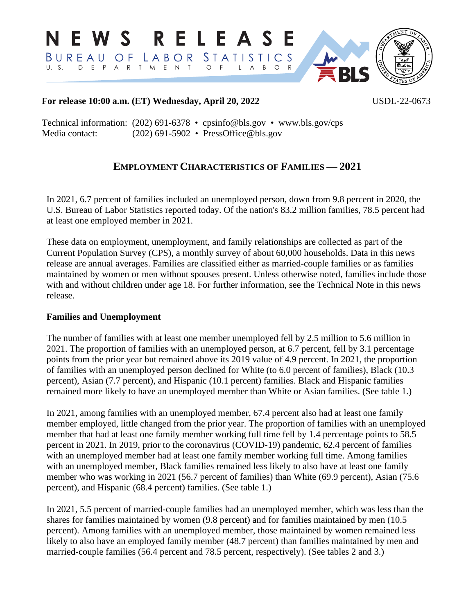RELEASE N E W S LABOR STATISTICS BUREAU  $OF$ D E P A R T M E N T  $O$  F  $O$  R  $U. S.$ L. **RLS** 

## **For release 10:00 a.m. (ET) Wednesday, April 20, 2022** USDL-22-0673

Technical information: (202) 691-6378 • cpsinfo@bls.gov • www.bls.gov/cps Media contact: (202) 691-5902 • PressOffice@bls.gov

# **EMPLOYMENT CHARACTERISTICS OF FAMILIES — 2021**

In 2021, 6.7 percent of families included an unemployed person, down from 9.8 percent in 2020, the U.S. Bureau of Labor Statistics reported today. Of the nation's 83.2 million families, 78.5 percent had at least one employed member in 2021.

These data on employment, unemployment, and family relationships are collected as part of the Current Population Survey (CPS), a monthly survey of about 60,000 households. Data in this news release are annual averages. Families are classified either as married-couple families or as families maintained by women or men without spouses present. Unless otherwise noted, families include those with and without children under age 18. For further information, see the Technical Note in this news release.

## **Families and Unemployment**

The number of families with at least one member unemployed fell by 2.5 million to 5.6 million in 2021. The proportion of families with an unemployed person, at 6.7 percent, fell by 3.1 percentage points from the prior year but remained above its 2019 value of 4.9 percent. In 2021, the proportion of families with an unemployed person declined for White (to 6.0 percent of families), Black (10.3 percent), Asian (7.7 percent), and Hispanic (10.1 percent) families. Black and Hispanic families remained more likely to have an unemployed member than White or Asian families. (See table 1.)

In 2021, among families with an unemployed member, 67.4 percent also had at least one family member employed, little changed from the prior year. The proportion of families with an unemployed member that had at least one family member working full time fell by 1.4 percentage points to 58.5 percent in 2021. In 2019, prior to the coronavirus (COVID-19) pandemic, 62.4 percent of families with an unemployed member had at least one family member working full time. Among families with an unemployed member, Black families remained less likely to also have at least one family member who was working in 2021 (56.7 percent of families) than White (69.9 percent), Asian (75.6 percent), and Hispanic (68.4 percent) families. (See table 1.)

In 2021, 5.5 percent of married-couple families had an unemployed member, which was less than the shares for families maintained by women (9.8 percent) and for families maintained by men (10.5 percent). Among families with an unemployed member, those maintained by women remained less likely to also have an employed family member (48.7 percent) than families maintained by men and married-couple families (56.4 percent and 78.5 percent, respectively). (See tables 2 and 3.)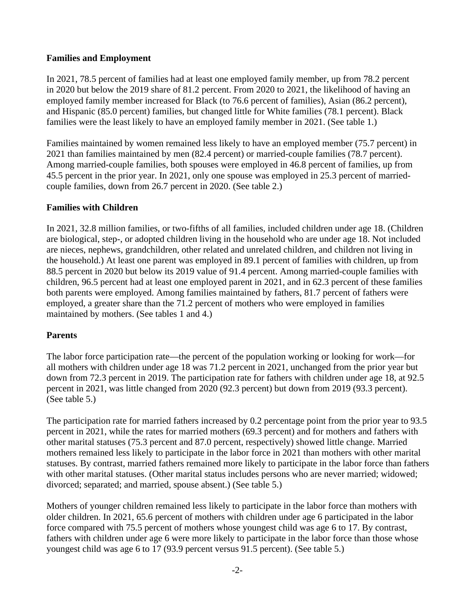## **Families and Employment**

In 2021, 78.5 percent of families had at least one employed family member, up from 78.2 percent in 2020 but below the 2019 share of 81.2 percent. From 2020 to 2021, the likelihood of having an employed family member increased for Black (to 76.6 percent of families), Asian (86.2 percent), and Hispanic (85.0 percent) families, but changed little for White families (78.1 percent). Black families were the least likely to have an employed family member in 2021. (See table 1.)

Families maintained by women remained less likely to have an employed member (75.7 percent) in 2021 than families maintained by men (82.4 percent) or married-couple families (78.7 percent). Among married-couple families, both spouses were employed in 46.8 percent of families, up from 45.5 percent in the prior year. In 2021, only one spouse was employed in 25.3 percent of marriedcouple families, down from 26.7 percent in 2020. (See table 2.)

## **Families with Children**

In 2021, 32.8 million families, or two-fifths of all families, included children under age 18. (Children are biological, step-, or adopted children living in the household who are under age 18. Not included are nieces, nephews, grandchildren, other related and unrelated children, and children not living in the household.) At least one parent was employed in 89.1 percent of families with children, up from 88.5 percent in 2020 but below its 2019 value of 91.4 percent. Among married-couple families with children, 96.5 percent had at least one employed parent in 2021, and in 62.3 percent of these families both parents were employed. Among families maintained by fathers, 81.7 percent of fathers were employed, a greater share than the 71.2 percent of mothers who were employed in families maintained by mothers. (See tables 1 and 4.)

## **Parents**

The labor force participation rate—the percent of the population working or looking for work—for all mothers with children under age 18 was 71.2 percent in 2021, unchanged from the prior year but down from 72.3 percent in 2019. The participation rate for fathers with children under age 18, at 92.5 percent in 2021, was little changed from 2020 (92.3 percent) but down from 2019 (93.3 percent). (See table 5.)

The participation rate for married fathers increased by 0.2 percentage point from the prior year to 93.5 percent in 2021, while the rates for married mothers (69.3 percent) and for mothers and fathers with other marital statuses (75.3 percent and 87.0 percent, respectively) showed little change. Married mothers remained less likely to participate in the labor force in 2021 than mothers with other marital statuses. By contrast, married fathers remained more likely to participate in the labor force than fathers with other marital statuses. (Other marital status includes persons who are never married; widowed; divorced; separated; and married, spouse absent.) (See table 5.)

Mothers of younger children remained less likely to participate in the labor force than mothers with older children. In 2021, 65.6 percent of mothers with children under age 6 participated in the labor force compared with 75.5 percent of mothers whose youngest child was age 6 to 17. By contrast, fathers with children under age 6 were more likely to participate in the labor force than those whose youngest child was age 6 to 17 (93.9 percent versus 91.5 percent). (See table 5.)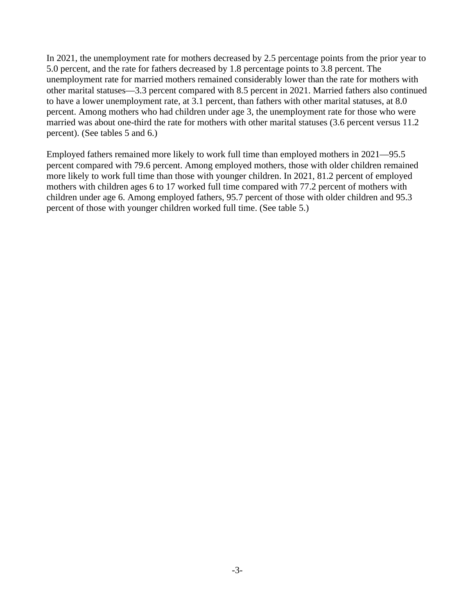In 2021, the unemployment rate for mothers decreased by 2.5 percentage points from the prior year to 5.0 percent, and the rate for fathers decreased by 1.8 percentage points to 3.8 percent. The unemployment rate for married mothers remained considerably lower than the rate for mothers with other marital statuses—3.3 percent compared with 8.5 percent in 2021. Married fathers also continued to have a lower unemployment rate, at 3.1 percent, than fathers with other marital statuses, at 8.0 percent. Among mothers who had children under age 3, the unemployment rate for those who were married was about one-third the rate for mothers with other marital statuses (3.6 percent versus 11.2 percent). (See tables 5 and 6.)

Employed fathers remained more likely to work full time than employed mothers in 2021—95.5 percent compared with 79.6 percent. Among employed mothers, those with older children remained more likely to work full time than those with younger children. In 2021, 81.2 percent of employed mothers with children ages 6 to 17 worked full time compared with 77.2 percent of mothers with children under age 6. Among employed fathers, 95.7 percent of those with older children and 95.3 percent of those with younger children worked full time. (See table 5.)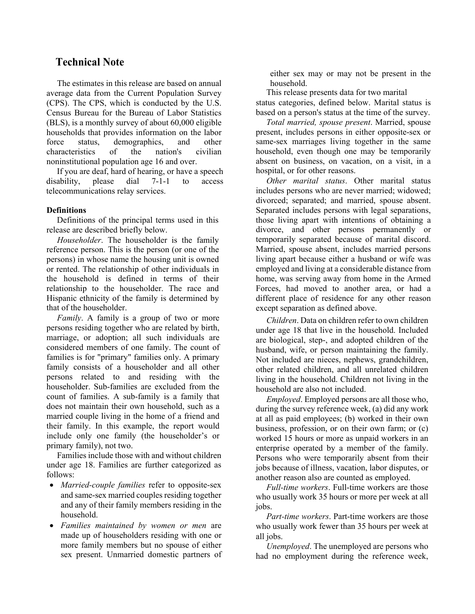## **Technical Note**

The estimates in this release are based on annual average data from the Current Population Survey (CPS). The CPS, which is conducted by the U.S. Census Bureau for the Bureau of Labor Statistics (BLS), is a monthly survey of about 60,000 eligible households that provides information on the labor force status, demographics, and other characteristics of the nation's civilian noninstitutional population age 16 and over.

If you are deaf, hard of hearing, or have a speech disability, please dial 7-1-1 to access telecommunications relay services.

### **Definitions**

Definitions of the principal terms used in this release are described briefly below.

*Householder*. The householder is the family reference person. This is the person (or one of the persons) in whose name the housing unit is owned or rented. The relationship of other individuals in the household is defined in terms of their relationship to the householder. The race and Hispanic ethnicity of the family is determined by that of the householder.

*Family*. A family is a group of two or more persons residing together who are related by birth, marriage, or adoption; all such individuals are considered members of one family. The count of families is for "primary" families only. A primary family consists of a householder and all other persons related to and residing with the householder. Sub-families are excluded from the count of families. A sub-family is a family that does not maintain their own household, such as a married couple living in the home of a friend and their family. In this example, the report would include only one family (the householder's or primary family), not two.

Families include those with and without children under age 18. Families are further categorized as follows:

- *Married-couple families* refer to opposite-sex and same-sex married couples residing together and any of their family members residing in the household.
- *Families maintained by women or men* are made up of householders residing with one or more family members but no spouse of either sex present. Unmarried domestic partners of

either sex may or may not be present in the household.

This release presents data for two marital status categories, defined below. Marital status is based on a person's status at the time of the survey.

*Total married, spouse present*. Married, spouse present, includes persons in either opposite-sex or same-sex marriages living together in the same household, even though one may be temporarily absent on business, on vacation, on a visit, in a hospital, or for other reasons.

*Other marital status*. Other marital status includes persons who are never married; widowed; divorced; separated; and married, spouse absent. Separated includes persons with legal separations, those living apart with intentions of obtaining a divorce, and other persons permanently or temporarily separated because of marital discord. Married, spouse absent, includes married persons living apart because either a husband or wife was employed and living at a considerable distance from home, was serving away from home in the Armed Forces, had moved to another area, or had a different place of residence for any other reason except separation as defined above.

*Children*. Data on children refer to own children under age 18 that live in the household. Included are biological, step-, and adopted children of the husband, wife, or person maintaining the family. Not included are nieces, nephews, grandchildren, other related children, and all unrelated children living in the household. Children not living in the household are also not included.

*Employed*. Employed persons are all those who, during the survey reference week, (a) did any work at all as paid employees; (b) worked in their own business, profession, or on their own farm; or (c) worked 15 hours or more as unpaid workers in an enterprise operated by a member of the family. Persons who were temporarily absent from their jobs because of illness, vacation, labor disputes, or another reason also are counted as employed.

*Full-time workers*. Full-time workers are those who usually work 35 hours or more per week at all jobs.

*Part-time workers*. Part-time workers are those who usually work fewer than 35 hours per week at all jobs.

*Unemployed*. The unemployed are persons who had no employment during the reference week,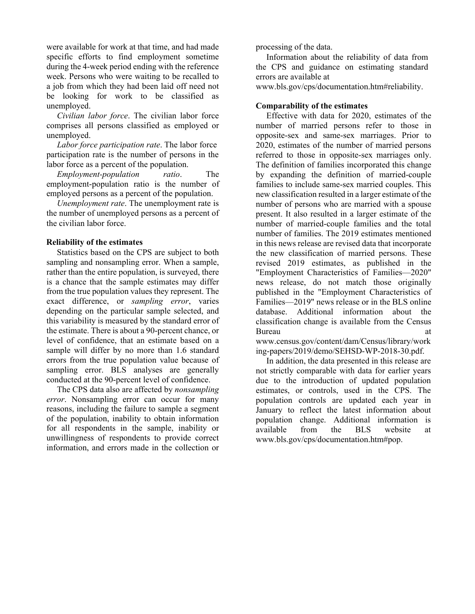were available for work at that time, and had made specific efforts to find employment sometime during the 4-week period ending with the reference week. Persons who were waiting to be recalled to a job from which they had been laid off need not be looking for work to be classified as unemployed.

*Civilian labor force*. The civilian labor force comprises all persons classified as employed or unemployed.

*Labor force participation rate*. The labor force participation rate is the number of persons in the labor force as a percent of the population.

*Employment-population ratio*. The employment-population ratio is the number of employed persons as a percent of the population.

*Unemployment rate*. The unemployment rate is the number of unemployed persons as a percent of the civilian labor force.

### **Reliability of the estimates**

Statistics based on the CPS are subject to both sampling and nonsampling error. When a sample, rather than the entire population, is surveyed, there is a chance that the sample estimates may differ from the true population values they represent. The exact difference, or *sampling error*, varies depending on the particular sample selected, and this variability is measured by the standard error of the estimate. There is about a 90-percent chance, or level of confidence, that an estimate based on a sample will differ by no more than 1.6 standard errors from the true population value because of sampling error. BLS analyses are generally conducted at the 90-percent level of confidence.

The CPS data also are affected by *nonsampling error*. Nonsampling error can occur for many reasons, including the failure to sample a segment of the population, inability to obtain information for all respondents in the sample, inability or unwillingness of respondents to provide correct information, and errors made in the collection or

processing of the data.

Information about the reliability of data from the CPS and guidance on estimating standard errors are available at

[www.bls.gov/cps/documentation.htm#reliability.](https://www.bls.gov/cps/documentation.htm#reliability)

## **Comparability of the estimates**

Effective with data for 2020, estimates of the number of married persons refer to those in opposite-sex and same-sex marriages. Prior to 2020, estimates of the number of married persons referred to those in opposite-sex marriages only. The definition of families incorporated this change by expanding the definition of married-couple families to include same-sex married couples. This new classification resulted in a larger estimate of the number of persons who are married with a spouse present. It also resulted in a larger estimate of the number of married-couple families and the total number of families. The 2019 estimates mentioned in this news release are revised data that incorporate the new classification of married persons. These revised 2019 estimates, as published in the "Employment Characteristics of Families—2020" news release, do not match those originally published in the "Employment Characteristics of Families—2019" news release or in the BLS online database. Additional information about the classification change is available from the Census Bureau at a contract and a contract a contract and a contract a contract and a contract a contract a contract and a contract a contract a contract and a contract a contract a contract and a contract and a contract and a co

[www.census.gov/content/dam/Census/library/work](http://www.census.gov/content/dam/Census/library/working-papers/2019/demo/SEHSD-WP-2018-30.pdf) [ing-papers/2019/demo/SEHSD-WP-2018-30.pdf.](http://www.census.gov/content/dam/Census/library/working-papers/2019/demo/SEHSD-WP-2018-30.pdf)

In addition, the data presented in this release are not strictly comparable with data for earlier years due to the introduction of updated population estimates, or controls, used in the CPS. The population controls are updated each year in January to reflect the latest information about population change. Additional information is available from the BLS website at [www.bls.gov/cps/documentation.htm#pop.](https://www.bls.gov/cps/documentation.htm#pop)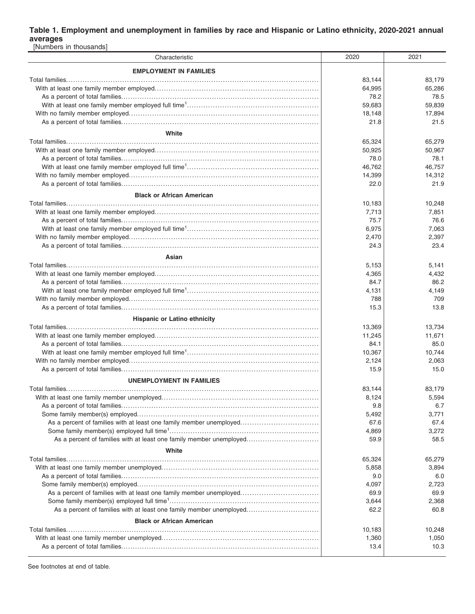### **Table 1. Employment and unemployment in families by race and Hispanic or Latino ethnicity, 2020-2021 annual averages**

| [Numbers in thousands]                                              |        |        |
|---------------------------------------------------------------------|--------|--------|
| Characteristic                                                      | 2020   | 2021   |
| <b>EMPLOYMENT IN FAMILIES</b>                                       |        |        |
|                                                                     | 83,144 | 83,179 |
|                                                                     | 64,995 | 65,286 |
|                                                                     | 78.2   | 78.5   |
|                                                                     | 59,683 | 59,839 |
|                                                                     | 18,148 | 17,894 |
|                                                                     | 21.8   | 21.5   |
| White                                                               |        |        |
|                                                                     | 65,324 | 65,279 |
|                                                                     | 50,925 | 50,967 |
|                                                                     | 78.0   | 78.1   |
|                                                                     | 46,762 | 46,757 |
|                                                                     | 14,399 | 14,312 |
|                                                                     | 22.0   | 21.9   |
|                                                                     |        |        |
| <b>Black or African American</b>                                    |        |        |
|                                                                     | 10,183 | 10,248 |
|                                                                     | 7,713  | 7,851  |
|                                                                     | 75.7   | 76.6   |
|                                                                     | 6,975  | 7,063  |
|                                                                     | 2,470  | 2,397  |
|                                                                     | 24.3   | 23.4   |
| Asian                                                               |        |        |
|                                                                     | 5,153  | 5,141  |
|                                                                     | 4,365  | 4,432  |
|                                                                     | 84.7   | 86.2   |
|                                                                     | 4,131  | 4,149  |
|                                                                     | 788    | 709    |
|                                                                     | 15.3   | 13.8   |
| <b>Hispanic or Latino ethnicity</b>                                 |        |        |
|                                                                     | 13,369 | 13,734 |
|                                                                     | 11,245 | 11,671 |
|                                                                     | 84.1   | 85.0   |
|                                                                     | 10,367 | 10,744 |
|                                                                     | 2,124  | 2,063  |
|                                                                     | 15.9   | 15.0   |
| <b>UNEMPLOYMENT IN FAMILIES</b>                                     |        |        |
|                                                                     | 83,144 | 83,179 |
|                                                                     | 8,124  | 5,594  |
|                                                                     | 9.8    | 6.7    |
|                                                                     | 5,492  | 3,771  |
| As a percent of families with at least one family member unemployed | 67.6   | 67.4   |
|                                                                     | 4,869  | 3,272  |
| As a percent of families with at least one family member unemployed | 59.9   | 58.5   |
| White                                                               |        |        |
|                                                                     | 65,324 | 65,279 |
|                                                                     | 5,858  | 3,894  |
|                                                                     | 9.0    | 6.0    |
|                                                                     | 4,097  | 2,723  |
| As a percent of families with at least one family member unemployed | 69.9   | 69.9   |
|                                                                     | 3,644  | 2,368  |
| As a percent of families with at least one family member unemployed | 62.2   | 60.8   |
| <b>Black or African American</b>                                    |        |        |
|                                                                     | 10,183 | 10,248 |
|                                                                     | 1,360  | 1,050  |
|                                                                     | 13.4   | 10.3   |
|                                                                     |        |        |

See footnotes at end of table.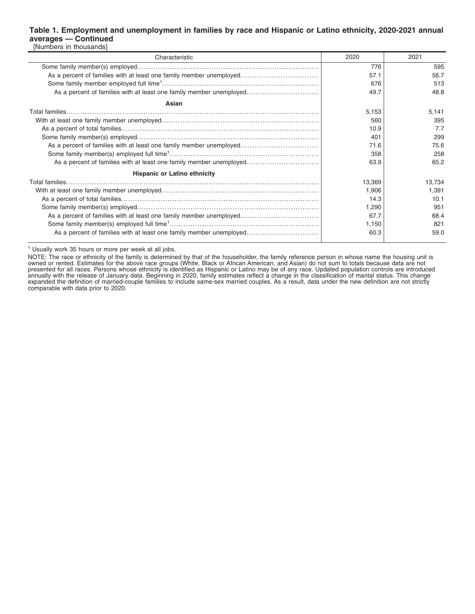#### **Table 1. Employment and unemployment in families by race and Hispanic or Latino ethnicity, 2020-2021 annual averages — Continued** [Numbers in thousands]

| Characteristic                                                      | 2020   | 2021   |
|---------------------------------------------------------------------|--------|--------|
|                                                                     | 776    | 595    |
| As a percent of families with at least one family member unemployed | 57.1   | 56.7   |
|                                                                     | 676    | 513    |
| As a percent of families with at least one family member unemployed | 49.7   | 48.8   |
| Asian                                                               |        |        |
|                                                                     | 5,153  | 5,141  |
|                                                                     | 560    | 395    |
|                                                                     | 10.9   | 7.7    |
|                                                                     | 401    | 299    |
| As a percent of families with at least one family member unemployed | 71.6   | 75.6   |
|                                                                     | 358    | 258    |
| As a percent of families with at least one family member unemployed | 63.9   | 65.2   |
| <b>Hispanic or Latino ethnicity</b>                                 |        |        |
|                                                                     | 13,369 | 13,734 |
|                                                                     | 1,906  | 1.391  |
|                                                                     | 14.3   | 10.1   |
|                                                                     | 1,290  | 951    |
| As a percent of families with at least one family member unemployed | 67.7   | 68.4   |
|                                                                     | 1,150  | 821    |
| As a percent of families with at least one family member unemployed | 60.3   | 59.0   |
|                                                                     |        |        |

<sup>1</sup> Usually work 35 hours or more per week at all jobs.

NOTE: The race or ethnicity of the family is determined by that of the householder, the family reference person in whose name the housing unit is<br>owned or rented. Estimates for the above race groups (White, Black or Africa annually with the release of January data. Beginning in 2020, family estimates reflect a change in the classification of marital status. This change expanded the definition of married-couple families to include same-sex married couples. As a result, data under the new definition are not strictly comparable with data prior to 2020.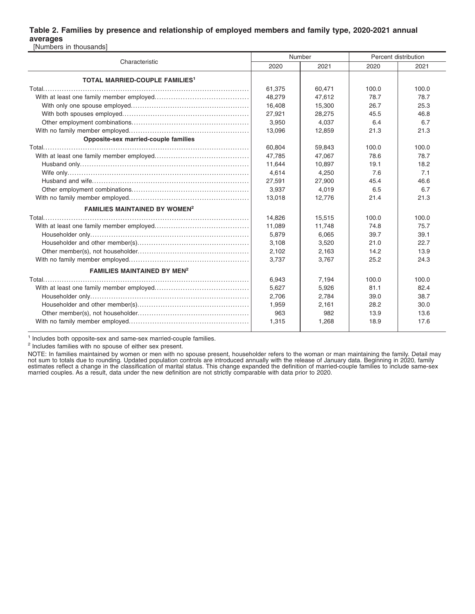### **Table 2. Families by presence and relationship of employed members and family type, 2020-2021 annual averages**

[Numbers in thousands]

|                                                  |        | Number | Percent distribution |       |  |
|--------------------------------------------------|--------|--------|----------------------|-------|--|
| Characteristic                                   | 2020   | 2021   | 2020                 | 2021  |  |
| <b>TOTAL MARRIED-COUPLE FAMILIES<sup>1</sup></b> |        |        |                      |       |  |
|                                                  | 61,375 | 60,471 | 100.0                | 100.0 |  |
|                                                  | 48,279 | 47,612 | 78.7                 | 78.7  |  |
|                                                  | 16,408 | 15,300 | 26.7                 | 25.3  |  |
|                                                  | 27,921 | 28.275 | 45.5                 | 46.8  |  |
|                                                  | 3,950  | 4.037  | 6.4                  | 6.7   |  |
|                                                  | 13,096 | 12,859 | 21.3                 | 21.3  |  |
| Opposite-sex married-couple families             |        |        |                      |       |  |
|                                                  | 60.804 | 59,843 | 100.0                | 100.0 |  |
|                                                  | 47.785 | 47,067 | 78.6                 | 78.7  |  |
|                                                  | 11,644 | 10,897 | 19.1                 | 18.2  |  |
|                                                  | 4,614  | 4,250  | 7.6                  | 7.1   |  |
|                                                  | 27,591 | 27,900 | 45.4                 | 46.6  |  |
|                                                  | 3,937  | 4,019  | 6.5                  | 6.7   |  |
|                                                  | 13.018 | 12.776 | 21.4                 | 21.3  |  |
| <b>FAMILIES MAINTAINED BY WOMEN<sup>2</sup></b>  |        |        |                      |       |  |
|                                                  | 14,826 | 15,515 | 100.0                | 100.0 |  |
|                                                  | 11,089 | 11,748 | 74.8                 | 75.7  |  |
|                                                  | 5.879  | 6.065  | 39.7                 | 39.1  |  |
|                                                  | 3.108  | 3.520  | 21.0                 | 22.7  |  |
|                                                  | 2,102  | 2.163  | 14.2                 | 13.9  |  |
|                                                  | 3,737  | 3,767  | 25.2                 | 24.3  |  |
| <b>FAMILIES MAINTAINED BY MEN<sup>2</sup></b>    |        |        |                      |       |  |
|                                                  | 6,943  | 7,194  | 100.0                | 100.0 |  |
|                                                  | 5,627  | 5,926  | 81.1                 | 82.4  |  |
|                                                  | 2,706  | 2,784  | 39.0                 | 38.7  |  |
|                                                  | 1,959  | 2,161  | 28.2                 | 30.0  |  |
|                                                  | 963    | 982    | 13.9                 | 13.6  |  |
|                                                  | 1,315  | 1,268  | 18.9                 | 17.6  |  |

<sup>1</sup> Includes both opposite-sex and same-sex married-couple families.

<sup>2</sup> Includes families with no spouse of either sex present.

NOTE: In families maintained by women or men with no spouse present, householder refers to the woman or man maintaining the family. Detail may<br>not sum to totals due to rounding. Updated population controls are introduced a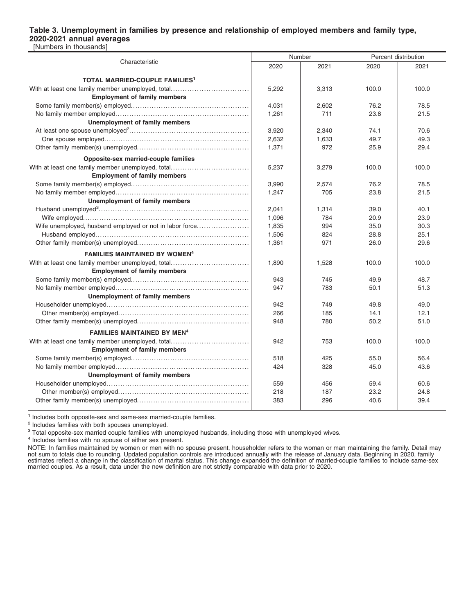#### **Table 3. Unemployment in families by presence and relationship of employed members and family type, 2020-2021 annual averages** [Numbers in thousands]

|                                                         | Number |       | Percent distribution |       |  |
|---------------------------------------------------------|--------|-------|----------------------|-------|--|
| Characteristic                                          | 2020   | 2021  | 2020                 | 2021  |  |
| <b>TOTAL MARRIED-COUPLE FAMILIES<sup>1</sup></b>        |        |       |                      |       |  |
| With at least one family member unemployed, total       | 5,292  | 3,313 | 100.0                | 100.0 |  |
| <b>Employment of family members</b>                     |        |       |                      |       |  |
|                                                         | 4.031  | 2,602 | 76.2                 | 78.5  |  |
|                                                         | 1,261  | 711   | 23.8                 | 21.5  |  |
| Unemployment of family members                          |        |       |                      |       |  |
|                                                         | 3.920  | 2,340 | 74.1                 | 70.6  |  |
|                                                         | 2,632  | 1,633 | 49.7                 | 49.3  |  |
|                                                         | 1,371  | 972   | 25.9                 | 29.4  |  |
| Opposite-sex married-couple families                    |        |       |                      |       |  |
| With at least one family member unemployed, total       | 5,237  | 3,279 | 100.0                | 100.0 |  |
| <b>Employment of family members</b>                     |        |       |                      |       |  |
|                                                         | 3,990  | 2,574 | 76.2                 | 78.5  |  |
|                                                         | 1,247  | 705   | 23.8                 | 21.5  |  |
| <b>Unemployment of family members</b>                   |        |       |                      |       |  |
|                                                         | 2.041  | 1,314 | 39.0                 | 40.1  |  |
|                                                         | 1.096  | 784   | 20.9                 | 23.9  |  |
| Wife unemployed, husband employed or not in labor force | 1,835  | 994   | 35.0                 | 30.3  |  |
|                                                         | 1,506  | 824   | 28.8                 | 25.1  |  |
|                                                         | 1,361  | 971   | 26.0                 | 29.6  |  |
| <b>FAMILIES MAINTAINED BY WOMEN<sup>4</sup></b>         |        |       |                      |       |  |
| With at least one family member unemployed, total       | 1,890  | 1,528 | 100.0                | 100.0 |  |
| <b>Employment of family members</b>                     |        |       |                      |       |  |
|                                                         | 943    | 745   | 49.9                 | 48.7  |  |
|                                                         | 947    | 783   | 50.1                 | 51.3  |  |
| Unemployment of family members                          |        |       |                      |       |  |
|                                                         | 942    | 749   | 49.8                 | 49.0  |  |
|                                                         | 266    | 185   | 14.1                 | 12.1  |  |
|                                                         | 948    | 780   | 50.2                 | 51.0  |  |
| <b>FAMILIES MAINTAINED BY MEN<sup>4</sup></b>           |        |       |                      |       |  |
| With at least one family member unemployed, total       | 942    | 753   | 100.0                | 100.0 |  |
| <b>Employment of family members</b>                     |        |       |                      |       |  |
|                                                         | 518    | 425   | 55.0                 | 56.4  |  |
|                                                         | 424    | 328   | 45.0                 | 43.6  |  |
| <b>Unemployment of family members</b>                   |        |       |                      |       |  |
|                                                         | 559    | 456   | 59.4                 | 60.6  |  |
|                                                         | 218    | 187   | 23.2                 | 24.8  |  |
|                                                         | 383    | 296   | 40.6                 | 39.4  |  |
|                                                         |        |       |                      |       |  |

<sup>1</sup> Includes both opposite-sex and same-sex married-couple families.

<sup>2</sup> Includes families with both spouses unemployed.

<sup>3</sup> Total opposite-sex married couple families with unemployed husbands, including those with unemployed wives.

4 Includes families with no spouse of either sex present.

NOTE: In families maintained by women or men with no spouse present, householder refers to the woman or man maintaining the family. Detail may not sum to totals due to rounding. Updated population controls are introduced annually with the release of January data. Beginning in 2020, family estimates reflect a change in the classification of marital status. This change expanded the definition of married-couple families to include same-sex<br>married couples. As a result, data under the new definition are not str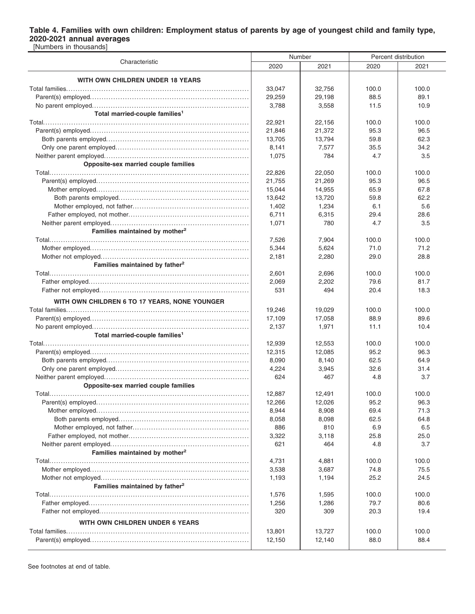### **Table 4. Families with own children: Employment status of parents by age of youngest child and family type, 2020-2021 annual averages** [Numbers in thousands]

|                                               |                | Number         | Percent distribution |       |  |
|-----------------------------------------------|----------------|----------------|----------------------|-------|--|
| Characteristic                                | 2020           | 2021           | 2020                 | 2021  |  |
|                                               |                |                |                      |       |  |
| WITH OWN CHILDREN UNDER 18 YEARS              | 33,047         | 32,756         | 100.0                | 100.0 |  |
|                                               | 29,259         | 29,198         | 88.5                 | 89.1  |  |
|                                               | 3,788          | 3,558          | 11.5                 | 10.9  |  |
| Total married-couple families <sup>1</sup>    |                |                |                      |       |  |
|                                               | 22,921         | 22,156         | 100.0                | 100.0 |  |
|                                               | 21,846         | 21,372         | 95.3                 | 96.5  |  |
|                                               | 13,705         | 13,794         | 59.8                 | 62.3  |  |
|                                               | 8,141          | 7,577          | 35.5                 | 34.2  |  |
|                                               | 1,075          | 784            | 4.7                  | 3.5   |  |
| Opposite-sex married couple families          |                |                |                      |       |  |
|                                               | 22,826         | 22,050         | 100.0                | 100.0 |  |
|                                               | 21,755         | 21,269         | 95.3                 | 96.5  |  |
|                                               | 15,044         | 14,955         | 65.9                 | 67.8  |  |
|                                               | 13,642         | 13,720         | 59.8                 | 62.2  |  |
|                                               | 1,402          | 1,234          | 6.1                  | 5.6   |  |
|                                               | 6,711          | 6,315          | 29.4                 | 28.6  |  |
|                                               | 1,071          | 780            | 4.7                  | 3.5   |  |
| Families maintained by mother <sup>2</sup>    |                |                |                      |       |  |
|                                               | 7,526          | 7,904          | 100.0                | 100.0 |  |
|                                               | 5,344          | 5,624          | 71.0                 | 71.2  |  |
|                                               | 2,181          | 2,280          | 29.0                 | 28.8  |  |
| Families maintained by father <sup>2</sup>    |                |                |                      |       |  |
|                                               | 2,601          | 2.696          | 100.0                | 100.0 |  |
|                                               | 2,069          | 2,202          | 79.6                 | 81.7  |  |
|                                               | 531            | 494            | 20.4                 | 18.3  |  |
| WITH OWN CHILDREN 6 TO 17 YEARS, NONE YOUNGER |                |                |                      |       |  |
|                                               | 19,246         | 19,029         | 100.0                | 100.0 |  |
|                                               | 17,109         | 17,058         | 88.9                 | 89.6  |  |
|                                               | 2,137          | 1,971          | 11.1                 | 10.4  |  |
| Total married-couple families <sup>1</sup>    |                |                |                      |       |  |
|                                               | 12,939         | 12,553         | 100.0                | 100.0 |  |
|                                               | 12,315         | 12,085         | 95.2                 | 96.3  |  |
|                                               | 8,090          | 8,140          | 62.5                 | 64.9  |  |
|                                               | 4,224          | 3,945          | 32.6                 | 31.4  |  |
|                                               | 624            | 467            | 4.8                  | 3.7   |  |
| Opposite-sex married couple families          |                |                |                      |       |  |
|                                               | 12,887         | 12,491         | 100.0                | 100.0 |  |
|                                               | 12,266         | 12,026         | 95.2                 | 96.3  |  |
|                                               | 8,944          | 8,908          | 69.4                 | 71.3  |  |
|                                               | 8,058          | 8,098          | 62.5                 | 64.8  |  |
|                                               | 886            | 810            | 6.9                  | 6.5   |  |
|                                               | 3,322          | 3,118          | 25.8                 | 25.0  |  |
|                                               | 621            | 464            | 4.8                  | 3.7   |  |
| Families maintained by mother <sup>2</sup>    |                |                |                      |       |  |
|                                               | 4,731          | 4,881          | 100.0                | 100.0 |  |
|                                               | 3,538          | 3,687          | 74.8                 | 75.5  |  |
| Families maintained by father <sup>2</sup>    | 1,193          | 1,194          | 25.2                 | 24.5  |  |
|                                               |                |                |                      | 100.0 |  |
|                                               | 1,576<br>1,256 | 1,595<br>1,286 | 100.0<br>79.7        | 80.6  |  |
|                                               | 320            | 309            | 20.3                 | 19.4  |  |
|                                               |                |                |                      |       |  |
| WITH OWN CHILDREN UNDER 6 YEARS               |                |                |                      |       |  |
|                                               | 13,801         | 13,727         | 100.0                | 100.0 |  |
|                                               | 12,150         | 12,140         | 88.0                 | 88.4  |  |

See footnotes at end of table.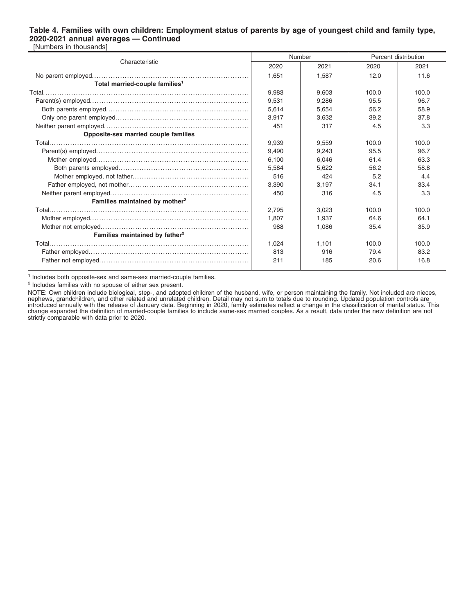#### **Table 4. Families with own children: Employment status of parents by age of youngest child and family type, 2020-2021 annual averages — Continued** [Numbers in thousands]

|                                            | Number |       | Percent distribution |       |  |
|--------------------------------------------|--------|-------|----------------------|-------|--|
| Characteristic                             | 2020   | 2021  | 2020                 | 2021  |  |
|                                            | 1.651  | 1.587 | 12.0                 | 11.6  |  |
| Total married-couple families <sup>1</sup> |        |       |                      |       |  |
|                                            | 9.983  | 9.603 | 100.0                | 100.0 |  |
|                                            | 9.531  | 9.286 | 95.5                 | 96.7  |  |
|                                            | 5,614  | 5,654 | 56.2                 | 58.9  |  |
|                                            | 3,917  | 3.632 | 39.2                 | 37.8  |  |
|                                            | 451    | 317   | 4.5                  | 3.3   |  |
| Opposite-sex married couple families       |        |       |                      |       |  |
|                                            | 9,939  | 9,559 | 100.0                | 100.0 |  |
|                                            | 9.490  | 9.243 | 95.5                 | 96.7  |  |
|                                            | 6.100  | 6.046 | 61.4                 | 63.3  |  |
|                                            | 5,584  | 5,622 | 56.2                 | 58.8  |  |
|                                            | 516    | 424   | 5.2                  | 4.4   |  |
|                                            | 3,390  | 3,197 | 34.1                 | 33.4  |  |
|                                            | 450    | 316   | 4.5                  | 3.3   |  |
| Families maintained by mother <sup>2</sup> |        |       |                      |       |  |
|                                            | 2.795  | 3,023 | 100.0                | 100.0 |  |
|                                            | 1.807  | 1.937 | 64.6                 | 64.1  |  |
|                                            | 988    | 1.086 | 35.4                 | 35.9  |  |
| Families maintained by father <sup>2</sup> |        |       |                      |       |  |
|                                            | 1,024  | 1,101 | 100.0                | 100.0 |  |
|                                            | 813    | 916   | 79.4                 | 83.2  |  |
|                                            | 211    | 185   | 20.6                 | 16.8  |  |
|                                            |        |       |                      |       |  |

<sup>1</sup> Includes both opposite-sex and same-sex married-couple families.

<sup>2</sup> Includes families with no spouse of either sex present.

NOTE: Own children include biological, step-, and adopted children of the husband, wife, or person maintaining the family. Not included are nieces, nephews, grandchildren, and other related and unrelated children. Detail may not sum to totals due to rounding. Updated population controls are<br>introduced annually with the release of January data. Beginning in 2020, famil strictly comparable with data prior to 2020.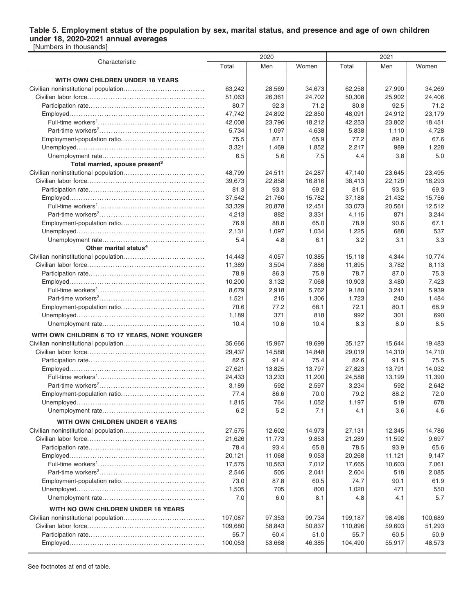#### **Table 5. Employment status of the population by sex, marital status, and presence and age of own children under 18, 2020-2021 annual averages** [Numbers in thousands]

Characteristic 2020 2021 Total | Men | Women | Total | Men | Women **WITH OWN CHILDREN UNDER 18 YEARS** Civilian noninstitutional population................................... 63,242 28,569 34,673 62,258 27,990 34,269 Civilian labor force.................................................. 51,063 26,361 24,702 50,308 25,902 24,406 Participation rate.................................................. 80.7 92.3 71.2 80.8 92.5 71.2 Employed.......................................................... 47,742 24,892 22,850 48,091 24,912 23,179 Full-time workers<sup>1</sup>……………………………………………………. | 42,008 | 23,796 | 18,212 | 42,253 | 23,802 | 18,451 Part-time workers<sup>2</sup> ............................................. 5,734 1,097 4,638 5,838 1,110 4,728 Employment-population ratio.................................... 75.5 87.1 65.9 77.2 89.0 67.6 Unemployed....................................................... 3,321 1,469 1,852 2,217 989 1,228 Unemployment rate............................................ 6.5 5.6 7.5 4.4 3.8 5.0 **Total married, spouse present<sup>3</sup>** Civilian noninstitutional population................................... 48,799 24,511 24,287 47,140 23,645 23,495 Civilian labor force.................................................. 39,673 22,858 16,816 38,413 22,120 16,293 Participation rate.................................................. 81.3 93.3 69.2 81.5 93.5 69.3 Employed.......................................................... 37,542 21,760 15,782 37,188 21,432 15,756 Full-time workers<sup>1</sup> .............................................. 33,329 20,878 12,451 33,073 20,561 12,512 Part-time workers<sup>2</sup> ............................................. 4,213 882 3,331 4,115 871 3,244 Employment-population ratio.................................... 76.9 88.8 65.0 78.9 90.6 67.1 Unemployed....................................................... 2,131 1,097 1,034 1,225 688 537 Unemployment rate............................................ 5.4 4.8 6.1 3.2 3.1 3.3 **Other marital status<sup>4</sup>** Civilian noninstitutional population................................... 14,443 4,057 10,385 15,118 4,344 10,774 Civilian labor force.................................................. 11,389 3,504 7,886 11,895 3,782 8,113 Participation rate.................................................. 78.9 86.3 75.9 78.7 87.0 75.3 Employed.......................................................... 10,200 3,132 7,068 10,903 3,480 7,423 Full-time workers<sup>1</sup>……………………………………………………. | 8,679 | 2,918 | 5,762 | 9,180 | 3,241 | 5,939 Part-time workers<sup>2</sup> ............................................. 1,521 215 1,306 1,723 240 1,484 Employment-population ratio.................................... 70.6 77.2 68.1 72.1 80.1 68.9 Unemployed....................................................... 1,189 371 818 992 301 690 Unemployment rate............................................ 10.4 10.6 10.4 8.3 8.0 8.5 **WITH OWN CHILDREN 6 TO 17 YEARS, NONE YOUNGER** Civilian noninstitutional population................................... 35,666 15,967 19,699 35,127 15,644 19,483 Civilian labor force.................................................. 29,437 14,588 14,848 29,019 14,310 14,710 Participation rate.................................................. 82.5 91.4 75.4 82.6 91.5 75.5 Employed.......................................................... 27,621 13,825 13,797 27,823 13,791 14,032 Full-time workers<sup>1</sup>……………………………………………………. | 24,433 | 13,233 | 11,200 | 24,588 | 13,199 | 11,390 Part-time workers<sup>2</sup> ............................................. 3,189 592 2,597 3,234 592 2,642 Employment-population ratio.................................... 77.4 86.6 70.0 79.2 88.2 72.0 Unemployed....................................................... 1,815 764 1,052 1,197 519 678 Unemployment rate............................................ 6.2 5.2 7.1 4.1 3.6 4.6 **WITH OWN CHILDREN UNDER 6 YEARS** Civilian noninstitutional population................................... 27,575 12,602 14,973 27,131 12,345 14,786 Civilian labor force.................................................. 21,626 11,773 9,853 21,289 11,592 9,697 Participation rate.................................................. 78.4 93.4 65.8 78.5 93.9 65.6 Employed.......................................................... 20,121 11,068 9,053 20,268 11,121 9,147 Full-time workers<sup>1</sup>……………………………………………………. | 17,575 | 10,563 | 7,012 | 17,665 | 10,603 | 7,061 Part-time workers<sup>2</sup> ............................................. 2,546 505 2,041 2,604 518 2,085 Employment-population ratio.................................... 73.0 87.8 60.5 74.7 90.1 61.9 Unemployed....................................................... 1,505 705 800 1,020 471 550 Unemployment rate............................................ 7.0 6.0 8.1 4.8 4.1 5.7 **WITH NO OWN CHILDREN UNDER 18 YEARS** Civilian noninstitutional population................................... 197,087 97,353 99,734 199,187 98,498 100,689 Civilian labor force.................................................. 109,680 58,843 50,837 110,896 59,603 51,293 Participation rate.................................................. 55.7 60.4 51.0 55.7 60.5 50.9 Employed.......................................................... 100,053 53,668 46,385 104,490 55,917 48,573

See footnotes at end of table.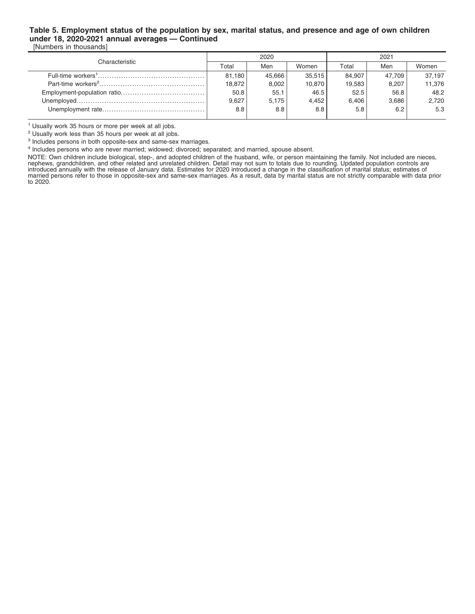### **Table 5. Employment status of the population by sex, marital status, and presence and age of own children under 18, 2020-2021 annual averages — Continued** [Numbers in thousands]

| Characteristic |        | 2020   |        | 2021   |        |        |  |
|----------------|--------|--------|--------|--------|--------|--------|--|
|                | Total  | Men    | Women  | Total  | Men    | Women  |  |
|                | 81.180 | 45.666 | 35,515 | 84,907 | 47.709 | 37.197 |  |
|                | 18.872 | 8,002  | 10,870 | 19,583 | 8,207  | 11,376 |  |
|                | 50.8   | 55.1   | 46.5   | 52.5   | 56.8   | 48.2   |  |
|                | 9.627  | 5,175  | 4,452  | 6,406  | 3,686  | 2,720  |  |
|                | 8.8    | 8.8    | 8.8    | 5.8    | 6.2    | 5.3    |  |
|                |        |        |        |        |        |        |  |

<sup>1</sup> Usually work 35 hours or more per week at all jobs.

<sup>2</sup> Usually work less than 35 hours per week at all jobs.

<sup>3</sup> Includes persons in both opposite-sex and same-sex marriages.

4 Includes persons who are never married; widowed; divorced; separated; and married, spouse absent.

NOTE: Own children include biological, step-, and adopted children of the husband, wife, or person maintaining the family. Not included are nieces, nephews, grandchildren, and other related and unrelated children. Detail may not sum to totals due to rounding. Updated population controls are<br>introduced annually with the release of January data. Estimates for 2020 intro married persons refer to those in opposite-sex and same-sex marriages. As a result, data by marital status are not strictly comparable with data prior to 2020.